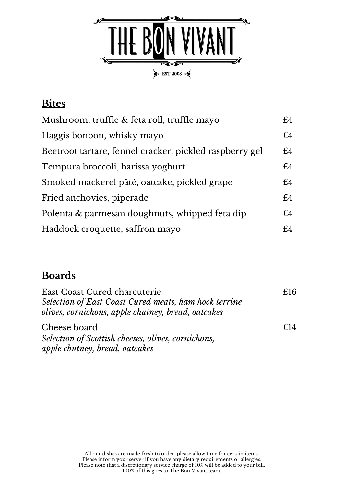

## **Bites**

| Mushroom, truffle & feta roll, truffle mayo             | £4 |
|---------------------------------------------------------|----|
| Haggis bonbon, whisky mayo                              | £4 |
| Beetroot tartare, fennel cracker, pickled raspberry gel | £4 |
| Tempura broccoli, harissa yoghurt                       | £4 |
| Smoked mackerel pâté, oatcake, pickled grape            | £4 |
| Fried anchovies, piperade                               | £4 |
| Polenta & parmesan doughnuts, whipped feta dip          | £4 |
| Haddock croquette, saffron mayo                         | £4 |

## **Boards**

| <b>East Coast Cured charcuterie</b><br>Selection of East Coast Cured meats, ham hock terrine<br>olives, cornichons, apple chutney, bread, oatcakes | £16             |
|----------------------------------------------------------------------------------------------------------------------------------------------------|-----------------|
| Cheese board                                                                                                                                       | f <sub>14</sub> |
| Selection of Scottish cheeses, olives, cornichons,<br>apple chutney, bread, oatcakes                                                               |                 |